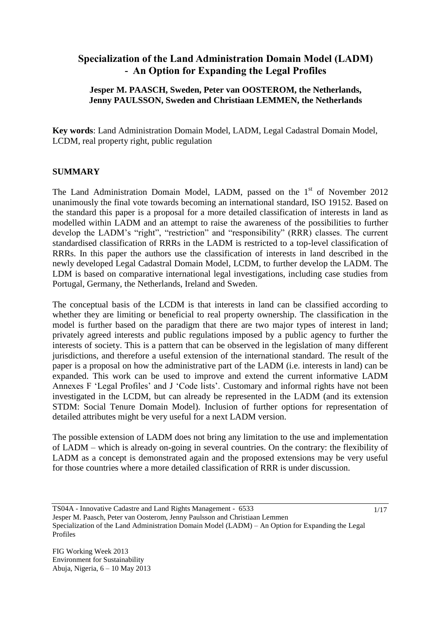# **Specialization of the Land Administration Domain Model (LADM) - An Option for Expanding the Legal Profiles**

## **Jesper M. PAASCH, Sweden, Peter van OOSTEROM, the Netherlands, Jenny PAULSSON, Sweden and Christiaan LEMMEN, the Netherlands**

**Key words**: Land Administration Domain Model, LADM, Legal Cadastral Domain Model, LCDM, real property right, public regulation

#### **SUMMARY**

The Land Administration Domain Model, LADM, passed on the  $1<sup>st</sup>$  of November 2012 unanimously the final vote towards becoming an international standard, ISO 19152. Based on the standard this paper is a proposal for a more detailed classification of interests in land as modelled within LADM and an attempt to raise the awareness of the possibilities to further develop the LADM"s "right", "restriction" and "responsibility" (RRR) classes. The current standardised classification of RRRs in the LADM is restricted to a top-level classification of RRRs. In this paper the authors use the classification of interests in land described in the newly developed Legal Cadastral Domain Model, LCDM, to further develop the LADM. The LDM is based on comparative international legal investigations, including case studies from Portugal, Germany, the Netherlands, Ireland and Sweden.

The conceptual basis of the LCDM is that interests in land can be classified according to whether they are limiting or beneficial to real property ownership. The classification in the model is further based on the paradigm that there are two major types of interest in land; privately agreed interests and public regulations imposed by a public agency to further the interests of society. This is a pattern that can be observed in the legislation of many different jurisdictions, and therefore a useful extension of the international standard. The result of the paper is a proposal on how the administrative part of the LADM (i.e. interests in land) can be expanded. This work can be used to improve and extend the current informative LADM Annexes F 'Legal Profiles' and J 'Code lists'. Customary and informal rights have not been investigated in the LCDM, but can already be represented in the LADM (and its extension STDM: Social Tenure Domain Model). Inclusion of further options for representation of detailed attributes might be very useful for a next LADM version.

The possible extension of LADM does not bring any limitation to the use and implementation of LADM – which is already on-going in several countries. On the contrary: the flexibility of LADM as a concept is demonstrated again and the proposed extensions may be very useful for those countries where a more detailed classification of RRR is under discussion.

TS04A - Innovative Cadastre and Land Rights Management - 6533 Jesper M. Paasch, Peter van Oosterom, Jenny Paulsson and Christiaan Lemmen Specialization of the Land Administration Domain Model (LADM) – An Option for Expanding the Legal Profiles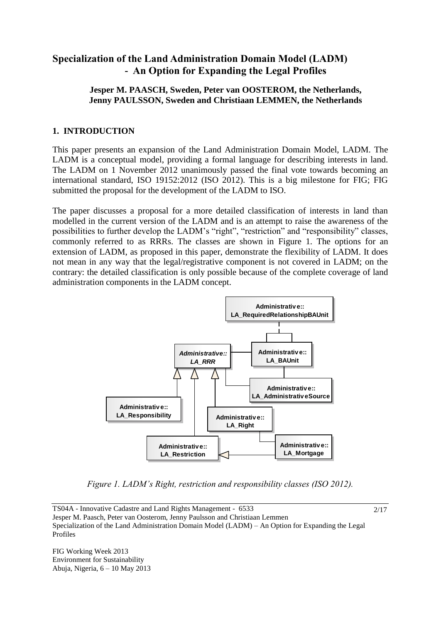# **Specialization of the Land Administration Domain Model (LADM) - An Option for Expanding the Legal Profiles**

## **Jesper M. PAASCH, Sweden, Peter van OOSTEROM, the Netherlands, Jenny PAULSSON, Sweden and Christiaan LEMMEN, the Netherlands**

# **1. INTRODUCTION**

This paper presents an expansion of the Land Administration Domain Model, LADM. The LADM is a conceptual model, providing a formal language for describing interests in land. The LADM on 1 November 2012 unanimously passed the final vote towards becoming an international standard, ISO 19152:2012 (ISO 2012). This is a big milestone for FIG; FIG submitted the proposal for the development of the LADM to ISO.

The paper discusses a proposal for a more detailed classification of interests in land than modelled in the current version of the LADM and is an attempt to raise the awareness of the possibilities to further develop the LADM"s "right", "restriction" and "responsibility" classes, commonly referred to as RRRs. The classes are shown in Figure 1. The options for an extension of LADM, as proposed in this paper, demonstrate the flexibility of LADM. It does not mean in any way that the legal/registrative component is not covered in LADM; on the contrary: the detailed classification is only possible because of the complete coverage of land administration components in the LADM concept.



*Figure 1. LADM's Right, restriction and responsibility classes (ISO 2012).*

2/17

TS04A - Innovative Cadastre and Land Rights Management - 6533 Jesper M. Paasch, Peter van Oosterom, Jenny Paulsson and Christiaan Lemmen Specialization of the Land Administration Domain Model (LADM) – An Option for Expanding the Legal Profiles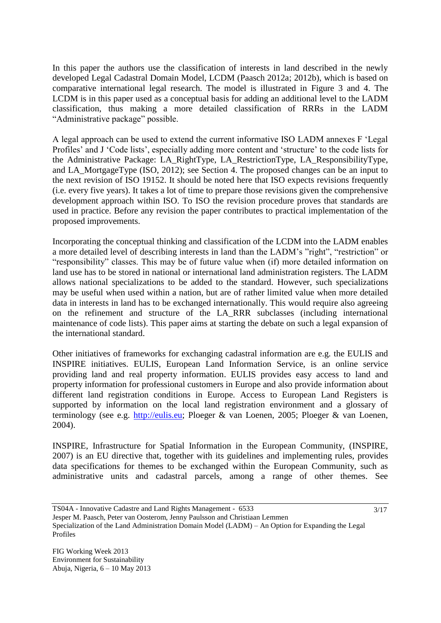In this paper the authors use the classification of interests in land described in the newly developed Legal Cadastral Domain Model, LCDM (Paasch 2012a; 2012b), which is based on comparative international legal research. The model is illustrated in Figure 3 and 4. The LCDM is in this paper used as a conceptual basis for adding an additional level to the LADM classification, thus making a more detailed classification of RRRs in the LADM "Administrative package" possible.

A legal approach can be used to extend the current informative ISO LADM annexes F "Legal Profiles' and J 'Code lists', especially adding more content and 'structure' to the code lists for the Administrative Package: LA\_RightType, LA\_RestrictionType, LA\_ResponsibilityType, and LA\_MortgageType (ISO, 2012); see Section 4. The proposed changes can be an input to the next revision of ISO 19152. It should be noted here that ISO expects revisions frequently (i.e. every five years). It takes a lot of time to prepare those revisions given the comprehensive development approach within ISO. To ISO the revision procedure proves that standards are used in practice. Before any revision the paper contributes to practical implementation of the proposed improvements.

Incorporating the conceptual thinking and classification of the LCDM into the LADM enables a more detailed level of describing interests in land than the LADM"s "right", "restriction" or "responsibility" classes. This may be of future value when (if) more detailed information on land use has to be stored in national or international land administration registers. The LADM allows national specializations to be added to the standard. However, such specializations may be useful when used within a nation, but are of rather limited value when more detailed data in interests in land has to be exchanged internationally. This would require also agreeing on the refinement and structure of the LA\_RRR subclasses (including international maintenance of code lists). This paper aims at starting the debate on such a legal expansion of the international standard.

Other initiatives of frameworks for exchanging cadastral information are e.g. the EULIS and INSPIRE initiatives. EULIS, European Land Information Service, is an online service providing land and real property information. EULIS provides easy access to land and property information for professional customers in Europe and also provide information about different land registration conditions in Europe. Access to European Land Registers is supported by information on the local land registration environment and a glossary of terminology (see e.g. [http://eulis.eu;](http://eulis.eu/) Ploeger & van Loenen, 2005; Ploeger & van Loenen, 2004).

INSPIRE, Infrastructure for Spatial Information in the European Community, (INSPIRE, 2007) is an EU directive that, together with its guidelines and implementing rules, provides data specifications for themes to be exchanged within the European Community, such as administrative units and cadastral parcels, among a range of other themes. See

TS04A - Innovative Cadastre and Land Rights Management - 6533 Jesper M. Paasch, Peter van Oosterom, Jenny Paulsson and Christiaan Lemmen Specialization of the Land Administration Domain Model (LADM) – An Option for Expanding the Legal Profiles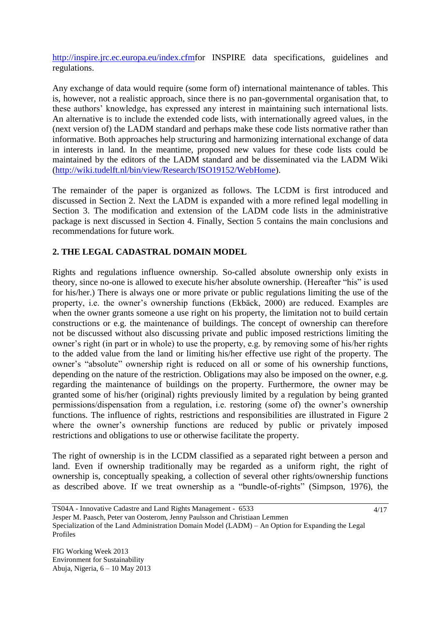[http://inspire.jrc.ec.europa.eu/index.cfmf](http://inspire.jrc.ec.europa.eu/index.cfm)or INSPIRE data specifications, guidelines and regulations.

Any exchange of data would require (some form of) international maintenance of tables. This is, however, not a realistic approach, since there is no pan-governmental organisation that, to these authors" knowledge, has expressed any interest in maintaining such international lists. An alternative is to include the extended code lists, with internationally agreed values, in the (next version of) the LADM standard and perhaps make these code lists normative rather than informative. Both approaches help structuring and harmonizing international exchange of data in interests in land. In the meantime, proposed new values for these code lists could be maintained by the editors of the LADM standard and be disseminated via the LADM Wiki [\(http://wiki.tudelft.nl/bin/view/Research/ISO19152/WebHome\)](http://wiki.tudelft.nl/bin/view/Research/ISO19152/WebHome).

The remainder of the paper is organized as follows. The LCDM is first introduced and discussed in Section 2. Next the LADM is expanded with a more refined legal modelling in Section 3. The modification and extension of the LADM code lists in the administrative package is next discussed in Section 4. Finally, Section 5 contains the main conclusions and recommendations for future work.

# **2. THE LEGAL CADASTRAL DOMAIN MODEL**

Rights and regulations influence ownership. So-called absolute ownership only exists in theory, since no-one is allowed to execute his/her absolute ownership. (Hereafter "his" is used for his/her.) There is always one or more private or public regulations limiting the use of the property, i.e. the owner"s ownership functions (Ekbäck, 2000) are reduced. Examples are when the owner grants someone a use right on his property, the limitation not to build certain constructions or e.g. the maintenance of buildings. The concept of ownership can therefore not be discussed without also discussing private and public imposed restrictions limiting the owner"s right (in part or in whole) to use the property, e.g. by removing some of his/her rights to the added value from the land or limiting his/her effective use right of the property. The owner"s "absolute" ownership right is reduced on all or some of his ownership functions, depending on the nature of the restriction. Obligations may also be imposed on the owner, e.g. regarding the maintenance of buildings on the property. Furthermore, the owner may be granted some of his/her (original) rights previously limited by a regulation by being granted permissions/dispensation from a regulation, i.e. restoring (some of) the owner"s ownership functions. The influence of rights, restrictions and responsibilities are illustrated in Figure 2 where the owner's ownership functions are reduced by public or privately imposed restrictions and obligations to use or otherwise facilitate the property.

The right of ownership is in the LCDM classified as a separated right between a person and land. Even if ownership traditionally may be regarded as a uniform right, the right of ownership is, conceptually speaking, a collection of several other rights/ownership functions as described above. If we treat ownership as a "bundle-of-rights" (Simpson, 1976), the

TS04A - Innovative Cadastre and Land Rights Management - 6533 Jesper M. Paasch, Peter van Oosterom, Jenny Paulsson and Christiaan Lemmen Specialization of the Land Administration Domain Model (LADM) – An Option for Expanding the Legal Profiles 4/17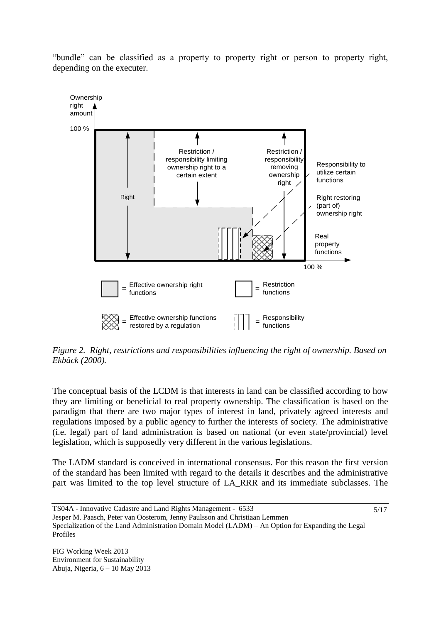"bundle" can be classified as a property to property right or person to property right, depending on the executer.



*Figure 2. Right, restrictions and responsibilities influencing the right of ownership. Based on Ekbäck (2000).*

The conceptual basis of the LCDM is that interests in land can be classified according to how they are limiting or beneficial to real property ownership. The classification is based on the paradigm that there are two major types of interest in land, privately agreed interests and regulations imposed by a public agency to further the interests of society. The administrative (i.e. legal) part of land administration is based on national (or even state/provincial) level legislation, which is supposedly very different in the various legislations.

The LADM standard is conceived in international consensus. For this reason the first version of the standard has been limited with regard to the details it describes and the administrative part was limited to the top level structure of LA\_RRR and its immediate subclasses. The

5/17

```
TS04A - Innovative Cadastre and Land Rights Management - 6533
Jesper M. Paasch, Peter van Oosterom, Jenny Paulsson and Christiaan Lemmen
Specialization of the Land Administration Domain Model (LADM) – An Option for Expanding the Legal 
Profiles
```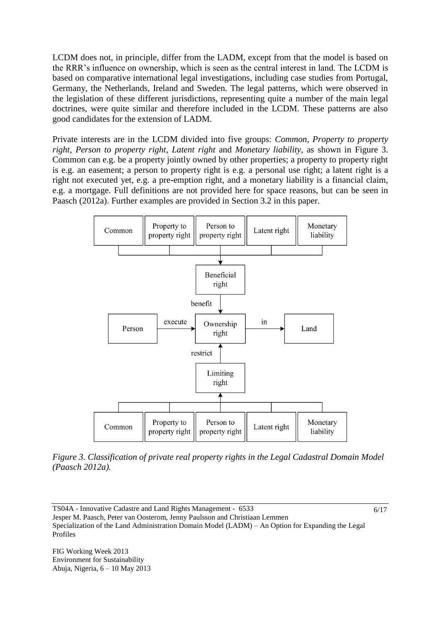LCDM does not, in principle, differ from the LADM, except from that the model is based on the RRR"s influence on ownership, which is seen as the central interest in land. The LCDM is based on comparative international legal investigations, including case studies from Portugal, Germany, the Netherlands, Ireland and Sweden. The legal patterns, which were observed in the legislation of these different jurisdictions, representing quite a number of the main legal doctrines, were quite similar and therefore included in the LCDM. These patterns are also good candidates for the extension of LADM.

Private interests are in the LCDM divided into five groups: *Common*, *Property to property right*, *Person to property right*, *Latent right* and *Monetary liability*, as shown in Figure 3. Common can e.g. be a property jointly owned by other properties; a property to property right is e.g. an easement; a person to property right is e.g. a personal use right; a latent right is a right not executed yet, e.g. a pre-emption right, and a monetary liability is a financial claim, e.g. a mortgage. Full definitions are not provided here for space reasons, but can be seen in Paasch (2012a). Further examples are provided in Section 3.2 in this paper.





6/17

TS04A - Innovative Cadastre and Land Rights Management - 6533 Jesper M. Paasch, Peter van Oosterom, Jenny Paulsson and Christiaan Lemmen Specialization of the Land Administration Domain Model (LADM) – An Option for Expanding the Legal Profiles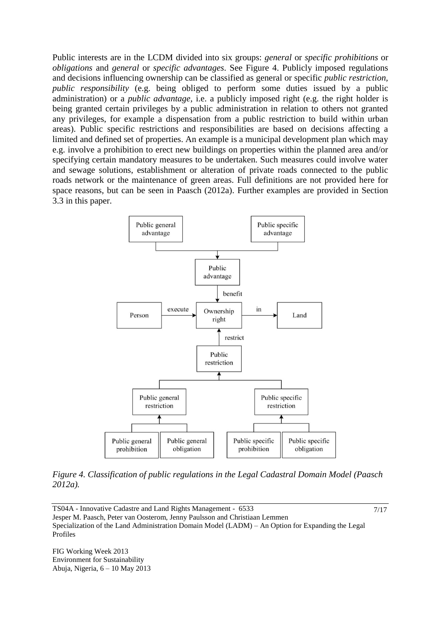Public interests are in the LCDM divided into six groups: *general* or *specific prohibitions* or *obligations* and *general* or *specific advantages*. See Figure 4. Publicly imposed regulations and decisions influencing ownership can be classified as general or specific *public restriction, public responsibility* (e.g. being obliged to perform some duties issued by a public administration) or a *public advantage,* i.e. a publicly imposed right (e.g. the right holder is being granted certain privileges by a public administration in relation to others not granted any privileges, for example a dispensation from a public restriction to build within urban areas). Public specific restrictions and responsibilities are based on decisions affecting a limited and defined set of properties. An example is a municipal development plan which may e.g. involve a prohibition to erect new buildings on properties within the planned area and/or specifying certain mandatory measures to be undertaken. Such measures could involve water and sewage solutions, establishment or alteration of private roads connected to the public roads network or the maintenance of green areas. Full definitions are not provided here for space reasons, but can be seen in Paasch (2012a). Further examples are provided in Section 3.3 in this paper.



*Figure 4. Classification of public regulations in the Legal Cadastral Domain Model (Paasch 2012a).*

7/17

TS04A - Innovative Cadastre and Land Rights Management - 6533 Jesper M. Paasch, Peter van Oosterom, Jenny Paulsson and Christiaan Lemmen Specialization of the Land Administration Domain Model (LADM) – An Option for Expanding the Legal Profiles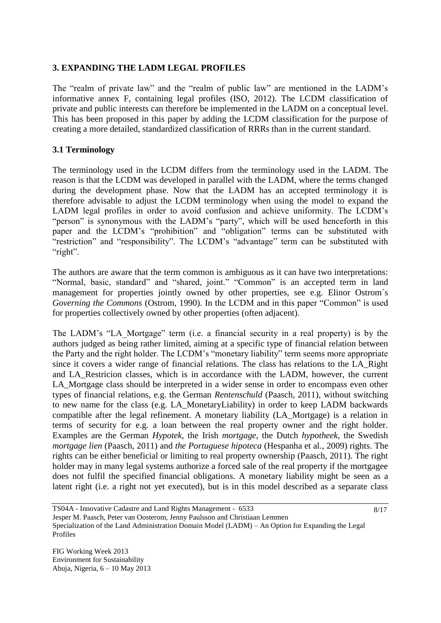## **3. EXPANDING THE LADM LEGAL PROFILES**

The "realm of private law" and the "realm of public law" are mentioned in the LADM"s informative annex F, containing legal profiles (ISO, 2012). The LCDM classification of private and public interests can therefore be implemented in the LADM on a conceptual level. This has been proposed in this paper by adding the LCDM classification for the purpose of creating a more detailed, standardized classification of RRRs than in the current standard.

#### **3.1 Terminology**

The terminology used in the LCDM differs from the terminology used in the LADM. The reason is that the LCDM was developed in parallel with the LADM, where the terms changed during the development phase. Now that the LADM has an accepted terminology it is therefore advisable to adjust the LCDM terminology when using the model to expand the LADM legal profiles in order to avoid confusion and achieve uniformity. The LCDM"s "person" is synonymous with the LADM's "party", which will be used henceforth in this paper and the LCDM"s "prohibition" and "obligation" terms can be substituted with "restriction" and "responsibility". The LCDM's "advantage" term can be substituted with "right".

The authors are aware that the term common is ambiguous as it can have two interpretations: "Normal, basic, standard" and "shared, joint." "Common" is an accepted term in land management for properties jointly owned by other properties, see e.g. Elinor Ostrom´s *Governing the Commons* (Ostrom, 1990). In the LCDM and in this paper "Common" is used for properties collectively owned by other properties (often adjacent).

The LADM's "LA Mortgage" term (i.e. a financial security in a real property) is by the authors judged as being rather limited, aiming at a specific type of financial relation between the Party and the right holder. The LCDM"s "monetary liability" term seems more appropriate since it covers a wider range of financial relations. The class has relations to the LA\_Right and LA\_Restricion classes, which is in accordance with the LADM, however, the current LA\_Mortgage class should be interpreted in a wider sense in order to encompass even other types of financial relations, e.g. the German *Rentenschuld* (Paasch, 2011), without switching to new name for the class (e.g. LA\_MonetaryLiability) in order to keep LADM backwards compatible after the legal refinement. A monetary liability (LA\_Mortgage) is a relation in terms of security for e.g. a loan between the real property owner and the right holder. Examples are the German *Hypotek,* the Irish *mortgage*, the Dutch *hypotheek,* the Swedish *mortgage lien* (Paasch, 2011) and *the Portuguese hipoteca* (Hespanha et al., 2009) rights. The rights can be either beneficial or limiting to real property ownership (Paasch, 2011). The right holder may in many legal systems authorize a forced sale of the real property if the mortgagee does not fulfil the specified financial obligations. A monetary liability might be seen as a latent right (i.e. a right not yet executed), but is in this model described as a separate class

TS04A - Innovative Cadastre and Land Rights Management - 6533 Jesper M. Paasch, Peter van Oosterom, Jenny Paulsson and Christiaan Lemmen Specialization of the Land Administration Domain Model (LADM) – An Option for Expanding the Legal Profiles 8/17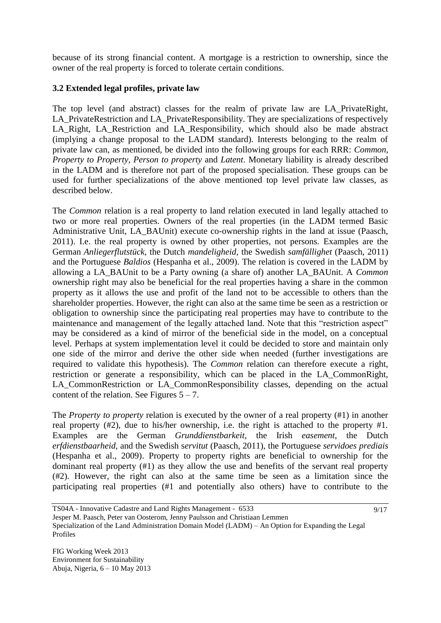because of its strong financial content. A mortgage is a restriction to ownership, since the owner of the real property is forced to tolerate certain conditions.

# **3.2 Extended legal profiles, private law**

The top level (and abstract) classes for the realm of private law are LA\_PrivateRight, LA PrivateRestriction and LA PrivateResponsibility. They are specializations of respectively LA\_Right, LA\_Restriction and LA\_Responsibility, which should also be made abstract (implying a change proposal to the LADM standard). Interests belonging to the realm of private law can, as mentioned, be divided into the following groups for each RRR: *Common, Property to Property, Person to property* and *Latent*. Monetary liability is already described in the LADM and is therefore not part of the proposed specialisation. These groups can be used for further specializations of the above mentioned top level private law classes, as described below.

The *Common* relation is a real property to land relation executed in land legally attached to two or more real properties. Owners of the real properties (in the LADM termed Basic Administrative Unit, LA\_BAUnit) execute co-ownership rights in the land at issue (Paasch, 2011). I.e. the real property is owned by other properties, not persons. Examples are the German *Anliegerflutstück*, the Dutch *mandeligheid,* the Swedish *samfällighet* (Paasch, 2011) and the Portuguese *Baldios* (Hespanha et al., 2009). The relation is covered in the LADM by allowing a LA\_BAUnit to be a Party owning (a share of) another LA\_BAUnit. A *Common* ownership right may also be beneficial for the real properties having a share in the common property as it allows the use and profit of the land not to be accessible to others than the shareholder properties. However, the right can also at the same time be seen as a restriction or obligation to ownership since the participating real properties may have to contribute to the maintenance and management of the legally attached land. Note that this "restriction aspect" may be considered as a kind of mirror of the beneficial side in the model, on a conceptual level. Perhaps at system implementation level it could be decided to store and maintain only one side of the mirror and derive the other side when needed (further investigations are required to validate this hypothesis). The *Common* relation can therefore execute a right, restriction or generate a responsibility, which can be placed in the LA\_CommonRight, LA\_CommonRestriction or LA\_CommonResponsibility classes, depending on the actual content of the relation. See Figures  $5 - 7$ .

The *Property to property* relation is executed by the owner of a real property (#1) in another real property (#2), due to his/her ownership, i.e. the right is attached to the property #1. Examples are the German *Grunddienstbarkeit*, the Irish *easement*, the Dutch *erfdienstbaarheid,* and the Swedish s*ervitut* (Paasch, 2011), the Portuguese *servidoes prediais* (Hespanha et al., 2009). Property to property rights are beneficial to ownership for the dominant real property (#1) as they allow the use and benefits of the servant real property (#2). However, the right can also at the same time be seen as a limitation since the participating real properties (#1 and potentially also others) have to contribute to the

TS04A - Innovative Cadastre and Land Rights Management - 6533 Jesper M. Paasch, Peter van Oosterom, Jenny Paulsson and Christiaan Lemmen Specialization of the Land Administration Domain Model (LADM) – An Option for Expanding the Legal Profiles 9/17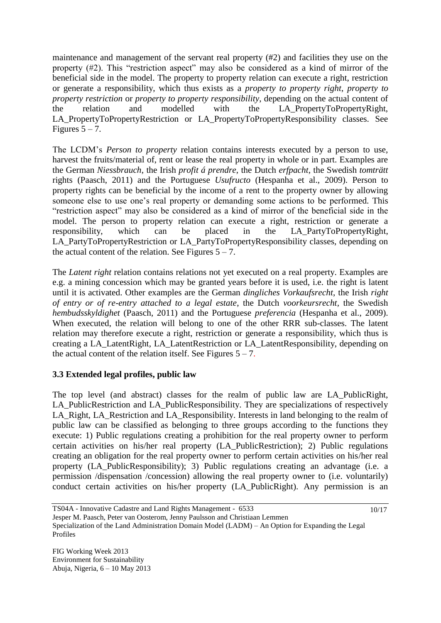maintenance and management of the servant real property (#2) and facilities they use on the property (#2). This "restriction aspect" may also be considered as a kind of mirror of the beneficial side in the model. The property to property relation can execute a right, restriction or generate a responsibility, which thus exists as a *property to property right*, *property to property restriction* or *property to property responsibility*, depending on the actual content of the relation and modelled with the LA\_PropertyToPropertyRight, LA\_PropertyToPropertyRestriction or LA\_PropertyToPropertyResponsibility classes. See Figures  $5 - 7$ .

The LCDM"s *Person to property* relation contains interests executed by a person to use, harvest the fruits/material of, rent or lease the real property in whole or in part. Examples are the German *Niessbrauch*, the Irish *profit á prendre*, the Dutch *erfpacht,* the Swedish *tomträtt* rights (Paasch, 2011) and the Portuguese *Usufructo* (Hespanha et al., 2009). Person to property rights can be beneficial by the income of a rent to the property owner by allowing someone else to use one"s real property or demanding some actions to be performed. This "restriction aspect" may also be considered as a kind of mirror of the beneficial side in the model. The person to property relation can execute a right, restriction or generate a responsibility, which can be placed in the LA\_PartyToPropertyRight, LA\_PartyToPropertyRestriction or LA\_PartyToPropertyResponsibility classes, depending on the actual content of the relation. See Figures  $5 - 7$ .

The *Latent right* relation contains relations not yet executed on a real property. Examples are e.g. a mining concession which may be granted years before it is used, i.e. the right is latent until it is activated. Other examples are the German *dingliches Vorkaufsrecht*, the Irish *right of entry or of re-entry attached to a legal estate*, the Dutch *voorkeursrecht,* the Swedish *hembudsskyldighet* (Paasch, 2011) and the Portuguese *preferencia* (Hespanha et al., 2009). When executed, the relation will belong to one of the other RRR sub-classes. The latent relation may therefore execute a right, restriction or generate a responsibility, which thus is creating a LA\_LatentRight*,* LA\_LatentRestriction or LA\_LatentResponsibility, depending on the actual content of the relation itself. See Figures  $5 - 7$ .

# **3.3 Extended legal profiles, public law**

The top level (and abstract) classes for the realm of public law are LA\_PublicRight, LA PublicRestriction and LA PublicResponsibility. They are specializations of respectively LA\_Right, LA\_Restriction and LA\_Responsibility. Interests in land belonging to the realm of public law can be classified as belonging to three groups according to the functions they execute: 1) Public regulations creating a prohibition for the real property owner to perform certain activities on his/her real property (LA\_PublicRestriction); 2) Public regulations creating an obligation for the real property owner to perform certain activities on his/her real property (LA\_PublicResponsibility); 3) Public regulations creating an advantage (i.e. a permission /dispensation /concession) allowing the real property owner to (i.e. voluntarily) conduct certain activities on his/her property (LA\_PublicRight). Any permission is an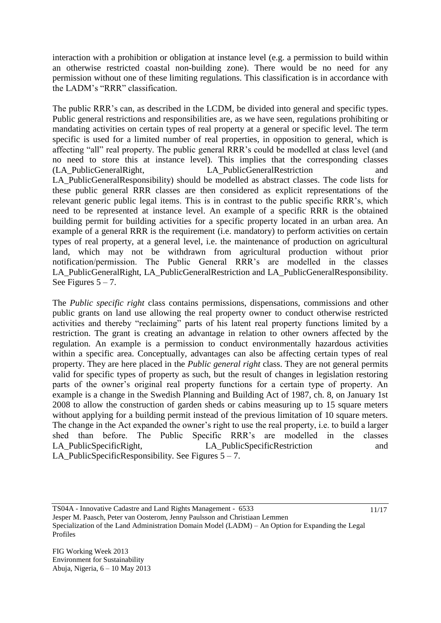interaction with a prohibition or obligation at instance level (e.g. a permission to build within an otherwise restricted coastal non-building zone). There would be no need for any permission without one of these limiting regulations. This classification is in accordance with the LADM"s "RRR" classification.

The public RRR"s can, as described in the LCDM, be divided into general and specific types. Public general restrictions and responsibilities are, as we have seen, regulations prohibiting or mandating activities on certain types of real property at a general or specific level. The term specific is used for a limited number of real properties, in opposition to general, which is affecting "all" real property. The public general RRR"s could be modelled at class level (and no need to store this at instance level). This implies that the corresponding classes (LA\_PublicGeneralRight, LA\_PublicGeneralRestriction and LA PublicGeneralResponsibility) should be modelled as abstract classes. The code lists for these public general RRR classes are then considered as explicit representations of the relevant generic public legal items. This is in contrast to the public specific RRR"s, which need to be represented at instance level. An example of a specific RRR is the obtained building permit for building activities for a specific property located in an urban area. An example of a general RRR is the requirement (i.e. mandatory) to perform activities on certain types of real property, at a general level, i.e. the maintenance of production on agricultural land, which may not be withdrawn from agricultural production without prior notification/permission. The Public General RRR"s are modelled in the classes LA\_PublicGeneralRight, LA\_PublicGeneralRestriction and LA\_PublicGeneralResponsibility. See Figures  $5 - 7$ .

The *Public specific right* class contains permissions, dispensations, commissions and other public grants on land use allowing the real property owner to conduct otherwise restricted activities and thereby "reclaiming" parts of his latent real property functions limited by a restriction. The grant is creating an advantage in relation to other owners affected by the regulation. An example is a permission to conduct environmentally hazardous activities within a specific area. Conceptually, advantages can also be affecting certain types of real property. They are here placed in the *Public general right* class. They are not general permits valid for specific types of property as such, but the result of changes in legislation restoring parts of the owner"s original real property functions for a certain type of property. An example is a change in the Swedish Planning and Building Act of 1987, ch. 8, on January 1st 2008 to allow the construction of garden sheds or cabins measuring up to 15 square meters without applying for a building permit instead of the previous limitation of 10 square meters. The change in the Act expanded the owner's right to use the real property, i.e. to build a larger shed than before. The Public Specific RRR"s are modelled in the classes LA PublicSpecificRight, LA PublicSpecificRestriction and LA\_PublicSpecificResponsibility. See Figures  $5 - 7$ .

TS04A - Innovative Cadastre and Land Rights Management - 6533 Jesper M. Paasch, Peter van Oosterom, Jenny Paulsson and Christiaan Lemmen Specialization of the Land Administration Domain Model (LADM) – An Option for Expanding the Legal Profiles 11/17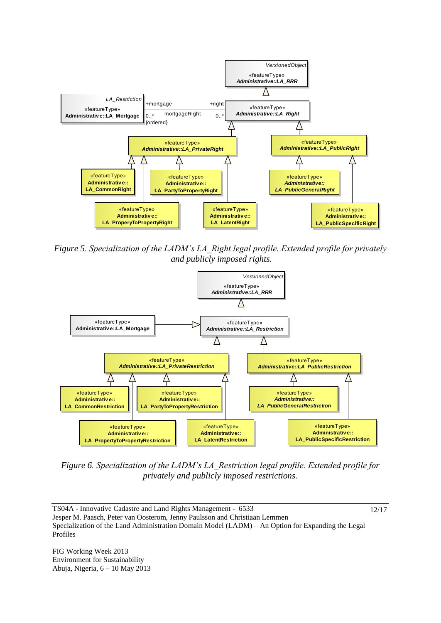

*Figure 5. Specialization of the LADM's LA\_Right legal profile. Extended profile for privately and publicly imposed rights.*



*Figure 6. Specialization of the LADM's LA\_Restriction legal profile. Extended profile for privately and publicly imposed restrictions.* 

TS04A - Innovative Cadastre and Land Rights Management - 6533 Jesper M. Paasch, Peter van Oosterom, Jenny Paulsson and Christiaan Lemmen Specialization of the Land Administration Domain Model (LADM) – An Option for Expanding the Legal Profiles 12/17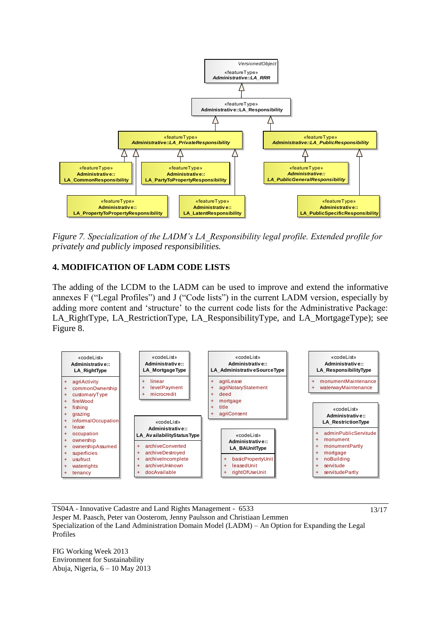

*Figure 7. Specialization of the LADM's LA\_Responsibility legal profile. Extended profile for privately and publicly imposed responsibilities.* 

# **4. MODIFICATION OF LADM CODE LISTS**

The adding of the LCDM to the LADM can be used to improve and extend the informative annexes F ("Legal Profiles") and J ("Code lists") in the current LADM version, especially by adding more content and 'structure' to the current code lists for the Administrative Package: LA\_RightType, LA\_RestrictionType, LA\_ResponsibilityType, and LA\_MortgageType); see Figure 8.



TS04A - Innovative Cadastre and Land Rights Management - 6533 Jesper M. Paasch, Peter van Oosterom, Jenny Paulsson and Christiaan Lemmen Specialization of the Land Administration Domain Model (LADM) – An Option for Expanding the Legal Profiles

13/17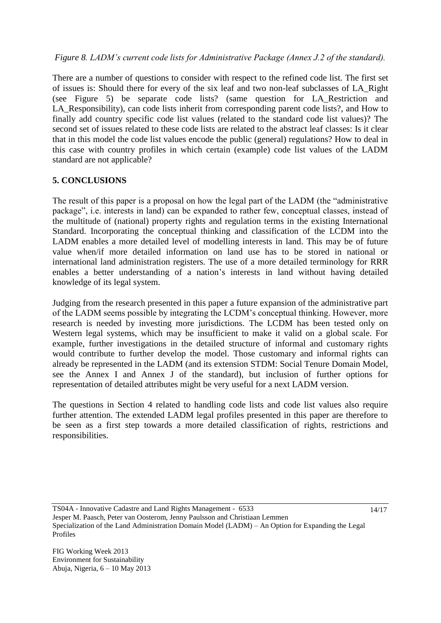# *Figure 8. LADM's current code lists for Administrative Package (Annex J.2 of the standard).*

There are a number of questions to consider with respect to the refined code list. The first set of issues is: Should there for every of the six leaf and two non-leaf subclasses of LA\_Right (see Figure 5) be separate code lists? (same question for LA\_Restriction and LA\_Responsibility), can code lists inherit from corresponding parent code lists?, and How to finally add country specific code list values (related to the standard code list values)? The second set of issues related to these code lists are related to the abstract leaf classes: Is it clear that in this model the code list values encode the public (general) regulations? How to deal in this case with country profiles in which certain (example) code list values of the LADM standard are not applicable?

# **5. CONCLUSIONS**

The result of this paper is a proposal on how the legal part of the LADM (the "administrative package", i.e. interests in land) can be expanded to rather few, conceptual classes, instead of the multitude of (national) property rights and regulation terms in the existing International Standard. Incorporating the conceptual thinking and classification of the LCDM into the LADM enables a more detailed level of modelling interests in land. This may be of future value when/if more detailed information on land use has to be stored in national or international land administration registers. The use of a more detailed terminology for RRR enables a better understanding of a nation's interests in land without having detailed knowledge of its legal system.

Judging from the research presented in this paper a future expansion of the administrative part of the LADM seems possible by integrating the LCDM"s conceptual thinking. However, more research is needed by investing more jurisdictions. The LCDM has been tested only on Western legal systems, which may be insufficient to make it valid on a global scale. For example, further investigations in the detailed structure of informal and customary rights would contribute to further develop the model. Those customary and informal rights can already be represented in the LADM (and its extension STDM: Social Tenure Domain Model, see the Annex I and Annex J of the standard), but inclusion of further options for representation of detailed attributes might be very useful for a next LADM version.

The questions in Section 4 related to handling code lists and code list values also require further attention. The extended LADM legal profiles presented in this paper are therefore to be seen as a first step towards a more detailed classification of rights, restrictions and responsibilities.

TS04A - Innovative Cadastre and Land Rights Management - 6533 Jesper M. Paasch, Peter van Oosterom, Jenny Paulsson and Christiaan Lemmen Specialization of the Land Administration Domain Model (LADM) – An Option for Expanding the Legal Profiles 14/17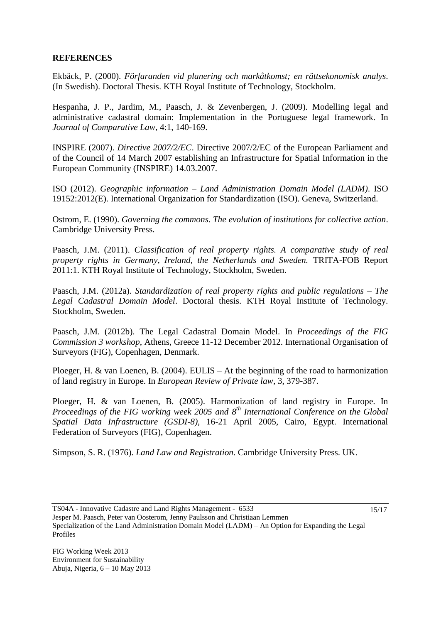## **REFERENCES**

Ekbäck, P. (2000). *Förfaranden vid planering och markåtkomst; en rättsekonomisk analys*. (In Swedish). Doctoral Thesis. KTH Royal Institute of Technology, Stockholm.

Hespanha, J. P., Jardim, M., Paasch, J. & Zevenbergen, J. (2009). Modelling legal and administrative cadastral domain: Implementation in the Portuguese legal framework. In *Journal of Comparative Law*, 4:1, 140-169.

INSPIRE (2007). *Directive 2007/2/EC*. [Directive 2007/2/EC of the European Parliament and](http://eur-lex.europa.eu/LexUriServ/LexUriServ.do?uri=CELEX:32007L0002:EN:NOT)  [of the Council of 14 March 2007 establishing an Infrastructure for Spatial Information in the](http://eur-lex.europa.eu/LexUriServ/LexUriServ.do?uri=CELEX:32007L0002:EN:NOT)  [European Community \(INSPIRE\)](http://eur-lex.europa.eu/LexUriServ/LexUriServ.do?uri=CELEX:32007L0002:EN:NOT) 14.03.2007.

ISO (2012). *Geographic information – Land Administration Domain Model (LADM)*. ISO 19152:2012(E). International Organization for Standardization (ISO). Geneva, Switzerland.

Ostrom, E. (1990). *Governing the commons. The evolution of institutions for collective action*. Cambridge University Press.

Paasch, J.M. (2011). *Classification of real property rights. A comparative study of real property rights in Germany, Ireland, the Netherlands and Sweden.* TRITA-FOB Report 2011:1. KTH Royal Institute of Technology, Stockholm, Sweden.

Paasch, J.M. (2012a). *Standardization of real property rights and public regulations – The Legal Cadastral Domain Model*. Doctoral thesis. KTH Royal Institute of Technology. Stockholm, Sweden.

Paasch, J.M. (2012b). The Legal Cadastral Domain Model. In *Proceedings of the FIG Commission 3 workshop*, Athens, Greece 11-12 December 2012. International Organisation of Surveyors (FIG), Copenhagen, Denmark.

Ploeger, H. & van Loenen, B. (2004). EULIS – At the beginning of the road to harmonization of land registry in Europe. In *European Review of Private law*, 3, 379-387.

Ploeger, H. & van Loenen, B. (2005). Harmonization of land registry in Europe. In *Proceedings of the FIG working week 2005 and 8 th International Conference on the Global Spatial Data Infrastructure (GSDI-8)*, 16-21 April 2005, Cairo, Egypt. International Federation of Surveyors (FIG), Copenhagen.

Simpson, S. R. (1976). *Land Law and Registration*. Cambridge University Press. UK.

TS04A - Innovative Cadastre and Land Rights Management - 6533 Jesper M. Paasch, Peter van Oosterom, Jenny Paulsson and Christiaan Lemmen Specialization of the Land Administration Domain Model (LADM) – An Option for Expanding the Legal Profiles 15/17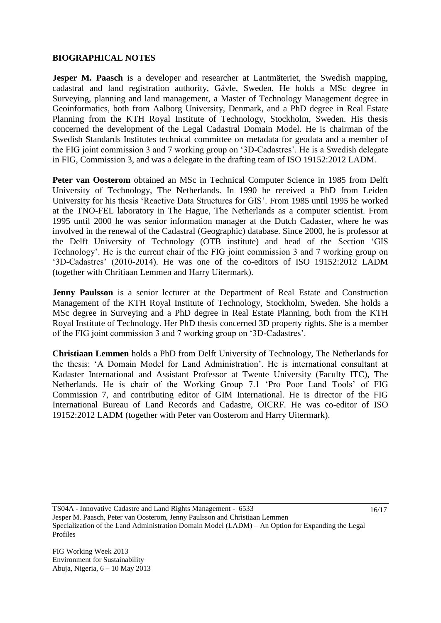## **BIOGRAPHICAL NOTES**

**Jesper M. Paasch** is a developer and researcher at Lantmäteriet, the Swedish mapping, cadastral and land registration authority, Gävle, Sweden. He holds a MSc degree in Surveying, planning and land management, a Master of Technology Management degree in Geoinformatics, both from Aalborg University, Denmark, and a PhD degree in Real Estate Planning from the KTH Royal Institute of Technology, Stockholm, Sweden. His thesis concerned the development of the Legal Cadastral Domain Model. He is chairman of the Swedish Standards Institutes technical committee on metadata for geodata and a member of the FIG joint commission 3 and 7 working group on "3D-Cadastres". He is a Swedish delegate in FIG, Commission 3, and was a delegate in the drafting team of ISO 19152:2012 LADM.

**Peter van Oosterom** obtained an MSc in Technical Computer Science in 1985 from Delft University of Technology, The Netherlands. In 1990 he received a PhD from Leiden University for his thesis "Reactive Data Structures for GIS". From 1985 until 1995 he worked at the TNO-FEL laboratory in The Hague, The Netherlands as a computer scientist. From 1995 until 2000 he was senior information manager at the Dutch Cadaster, where he was involved in the renewal of the Cadastral (Geographic) database. Since 2000, he is professor at the Delft University of Technology (OTB institute) and head of the Section "GIS Technology'. He is the current chair of the FIG joint commission 3 and 7 working group on "3D-Cadastres" (2010-2014). He was one of the co-editors of ISO 19152:2012 LADM (together with Chritiaan Lemmen and Harry Uitermark).

**Jenny Paulsson** is a senior lecturer at the Department of Real Estate and Construction Management of the KTH Royal Institute of Technology, Stockholm, Sweden. She holds a MSc degree in Surveying and a PhD degree in Real Estate Planning, both from the KTH Royal Institute of Technology. Her PhD thesis concerned 3D property rights. She is a member of the FIG joint commission 3 and 7 working group on "3D-Cadastres".

**Christiaan Lemmen** holds a PhD from Delft University of Technology, The Netherlands for the thesis: "A Domain Model for Land Administration". He is international consultant at Kadaster International and Assistant Professor at Twente University (Faculty ITC), The Netherlands. He is chair of the Working Group 7.1 "Pro Poor Land Tools" of FIG Commission 7, and contributing editor of GIM International. He is director of the FIG International Bureau of Land Records and Cadastre, OICRF. He was co-editor of ISO 19152:2012 LADM (together with Peter van Oosterom and Harry Uitermark).

TS04A - Innovative Cadastre and Land Rights Management - 6533 Jesper M. Paasch, Peter van Oosterom, Jenny Paulsson and Christiaan Lemmen Specialization of the Land Administration Domain Model (LADM) – An Option for Expanding the Legal Profiles